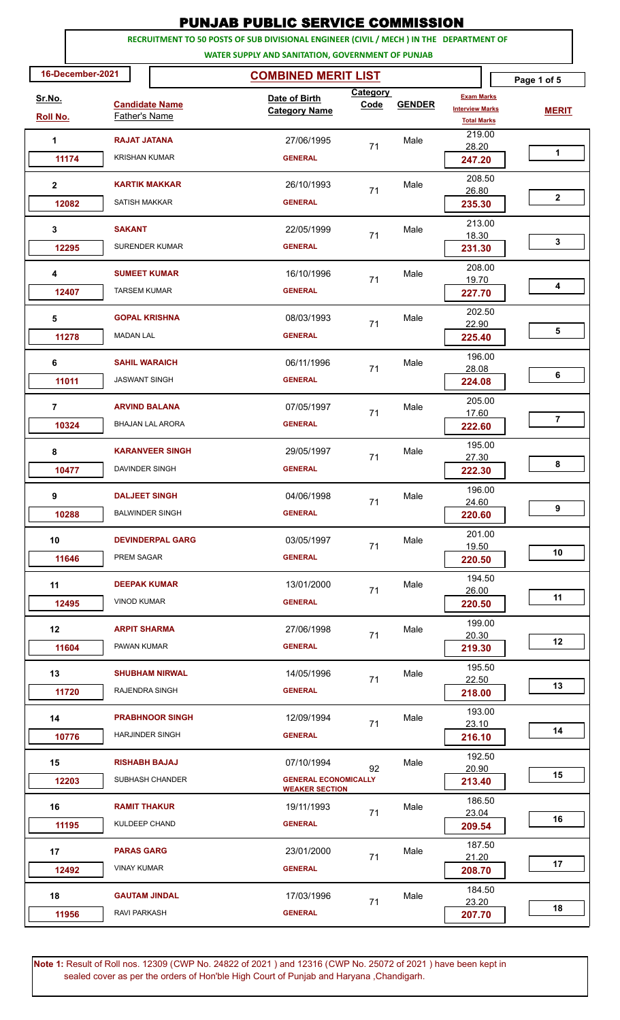| <b>PUNJAB PUBLIC SERVICE COMMISSION</b>                       |                                                  |                                                                                                                                              |                  |               |                                                                   |                |  |
|---------------------------------------------------------------|--------------------------------------------------|----------------------------------------------------------------------------------------------------------------------------------------------|------------------|---------------|-------------------------------------------------------------------|----------------|--|
|                                                               |                                                  | RECRUITMENT TO 50 POSTS OF SUB DIVISIONAL ENGINEER (CIVIL / MECH ) IN THE DEPARTMENT OF<br>WATER SUPPLY AND SANITATION, GOVERNMENT OF PUNJAB |                  |               |                                                                   |                |  |
| 16-December-2021<br><b>COMBINED MERIT LIST</b><br>Page 1 of 5 |                                                  |                                                                                                                                              |                  |               |                                                                   |                |  |
| Sr.No.<br><b>Roll No.</b>                                     | <b>Candidate Name</b><br>Father's Name           | Date of Birth<br><b>Category Name</b>                                                                                                        | Category<br>Code | <b>GENDER</b> | <b>Exam Marks</b><br><b>Interview Marks</b><br><b>Total Marks</b> | <b>MERIT</b>   |  |
| 1                                                             | <b>RAJAT JATANA</b>                              | 27/06/1995                                                                                                                                   | 71               | Male          | 219.00<br>28.20                                                   |                |  |
| 11174                                                         | <b>KRISHAN KUMAR</b>                             | <b>GENERAL</b>                                                                                                                               |                  |               | 247.20                                                            | 1              |  |
| 2<br>12082                                                    | <b>KARTIK MAKKAR</b><br><b>SATISH MAKKAR</b>     | 26/10/1993<br><b>GENERAL</b>                                                                                                                 | 71               | Male          | 208.50<br>26.80<br>235.30                                         | $\mathbf{2}$   |  |
| 3                                                             | <b>SAKANT</b>                                    | 22/05/1999                                                                                                                                   | 71               | Male          | 213.00<br>18.30                                                   |                |  |
| 12295                                                         | <b>SURENDER KUMAR</b>                            | <b>GENERAL</b>                                                                                                                               |                  |               | 231.30                                                            | 3              |  |
| 4<br>12407                                                    | <b>SUMEET KUMAR</b><br><b>TARSEM KUMAR</b>       | 16/10/1996<br><b>GENERAL</b>                                                                                                                 | 71               | Male          | 208.00<br>19.70                                                   | 4              |  |
| 5                                                             | <b>GOPAL KRISHNA</b>                             | 08/03/1993                                                                                                                                   |                  | Male          | 227.70<br>202.50                                                  |                |  |
| 11278                                                         | <b>MADAN LAL</b>                                 | <b>GENERAL</b>                                                                                                                               | 71               |               | 22.90<br>225.40                                                   | 5              |  |
| 6<br>11011                                                    | <b>SAHIL WARAICH</b><br><b>JASWANT SINGH</b>     | 06/11/1996<br><b>GENERAL</b>                                                                                                                 | 71               | Male          | 196.00<br>28.08<br>224.08                                         | 6              |  |
| $\overline{7}$<br>10324                                       | <b>ARVIND BALANA</b><br><b>BHAJAN LAL ARORA</b>  | 07/05/1997<br><b>GENERAL</b>                                                                                                                 | 71               | Male          | 205.00<br>17.60<br>222.60                                         | $\overline{7}$ |  |
| 8                                                             | <b>KARANVEER SINGH</b>                           | 29/05/1997                                                                                                                                   | 71               | Male          | 195.00<br>27.30                                                   | 8              |  |
| 10477                                                         | DAVINDER SINGH<br><b>DALJEET SINGH</b>           | <b>GENERAL</b>                                                                                                                               |                  |               | 222.30<br>196.00                                                  |                |  |
| 9<br>10288                                                    | <b>BALWINDER SINGH</b>                           | 04/06/1998<br><b>GENERAL</b>                                                                                                                 | 71               | Male          | 24.60<br>220.60                                                   | 9              |  |
| 10<br>11646                                                   | <b>DEVINDERPAL GARG</b><br>PREM SAGAR            | 03/05/1997<br><b>GENERAL</b>                                                                                                                 | 71               | Male          | 201.00<br>19.50<br>220.50                                         | 10             |  |
| 11<br>12495                                                   | <b>DEEPAK KUMAR</b><br><b>VINOD KUMAR</b>        | 13/01/2000<br><b>GENERAL</b>                                                                                                                 | 71               | Male          | 194.50<br>26.00<br>220.50                                         | 11             |  |
| 12<br>11604                                                   | <b>ARPIT SHARMA</b><br>PAWAN KUMAR               | 27/06/1998<br><b>GENERAL</b>                                                                                                                 | 71               | Male          | 199.00<br>20.30<br>219.30                                         | 12             |  |
| 13<br>11720                                                   | <b>SHUBHAM NIRWAL</b><br>RAJENDRA SINGH          | 14/05/1996<br><b>GENERAL</b>                                                                                                                 | 71               | Male          | 195.50<br>22.50<br>218.00                                         | 13             |  |
| 14<br>10776                                                   | <b>PRABHNOOR SINGH</b><br><b>HARJINDER SINGH</b> | 12/09/1994<br><b>GENERAL</b>                                                                                                                 | 71               | Male          | 193.00<br>23.10<br>216.10                                         | 14             |  |
| 15<br>12203                                                   | <b>RISHABH BAJAJ</b><br>SUBHASH CHANDER          | 07/10/1994<br><b>GENERAL ECONOMICALLY</b>                                                                                                    | 92               | Male          | 192.50<br>20.90<br>213.40                                         | 15             |  |
| 16<br>11195                                                   | <b>RAMIT THAKUR</b><br>KULDEEP CHAND             | <b>WEAKER SECTION</b><br>19/11/1993<br><b>GENERAL</b>                                                                                        | 71               | Male          | 186.50<br>23.04<br>209.54                                         | 16             |  |
| 17<br>12492                                                   | <b>PARAS GARG</b><br><b>VINAY KUMAR</b>          | 23/01/2000<br><b>GENERAL</b>                                                                                                                 | 71               | Male          | 187.50<br>21.20<br>208.70                                         | 17             |  |
| 18<br>11956                                                   | <b>GAUTAM JINDAL</b><br>RAVI PARKASH             | 17/03/1996<br><b>GENERAL</b>                                                                                                                 | 71               | Male          | 184.50<br>23.20<br>207.70                                         | 18             |  |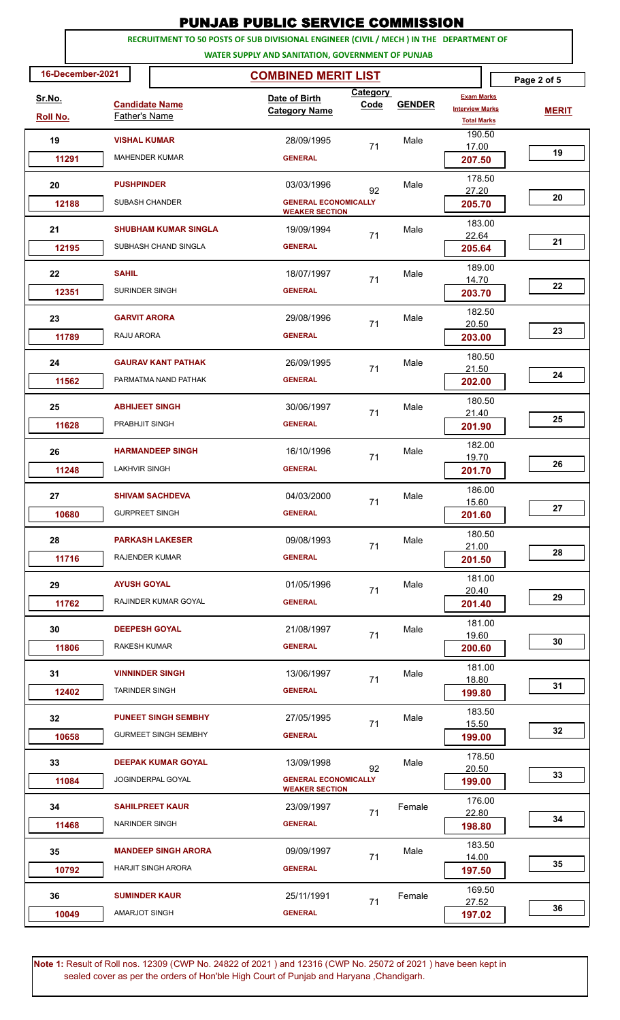|                                                                                                                                              |                                                           | PUNJAB PUBLIC SERVICE COMMISSION                           |                  |               |                                                                   |              |  |
|----------------------------------------------------------------------------------------------------------------------------------------------|-----------------------------------------------------------|------------------------------------------------------------|------------------|---------------|-------------------------------------------------------------------|--------------|--|
| RECRUITMENT TO 50 POSTS OF SUB DIVISIONAL ENGINEER (CIVIL / MECH ) IN THE DEPARTMENT OF<br>WATER SUPPLY AND SANITATION, GOVERNMENT OF PUNJAB |                                                           |                                                            |                  |               |                                                                   |              |  |
| 16-December-2021                                                                                                                             |                                                           |                                                            |                  | Page 2 of 5   |                                                                   |              |  |
| <u>Sr.No.</u><br>Roll No.                                                                                                                    | <b>Candidate Name</b><br>Father's Name                    | Date of Birth<br><b>Category Name</b>                      | Category<br>Code | <b>GENDER</b> | <b>Exam Marks</b><br><b>Interview Marks</b><br><b>Total Marks</b> | <b>MERIT</b> |  |
| 19<br>11291                                                                                                                                  | <b>VISHAL KUMAR</b><br><b>MAHENDER KUMAR</b>              | 28/09/1995<br><b>GENERAL</b>                               | 71               | Male          | 190.50<br>17.00<br>207.50                                         | 19           |  |
| 20                                                                                                                                           | <b>PUSHPINDER</b>                                         | 03/03/1996                                                 |                  | Male          | 178.50                                                            |              |  |
| 12188                                                                                                                                        | SUBASH CHANDER                                            | 92<br><b>GENERAL ECONOMICALLY</b><br><b>WEAKER SECTION</b> |                  |               | 27.20<br>205.70                                                   | 20           |  |
| 21<br>12195                                                                                                                                  | <b>SHUBHAM KUMAR SINGLA</b><br>SUBHASH CHAND SINGLA       | 19/09/1994<br><b>GENERAL</b>                               | 71               | Male          | 183.00<br>22.64<br>205.64                                         | 21           |  |
| 22                                                                                                                                           | <b>SAHIL</b>                                              | 18/07/1997                                                 | 71               | Male          | 189.00<br>14.70                                                   |              |  |
| 12351                                                                                                                                        | SURINDER SINGH                                            | <b>GENERAL</b>                                             |                  |               | 203.70                                                            | 22           |  |
| 23<br>11789                                                                                                                                  | <b>GARVIT ARORA</b><br>RAJU ARORA                         | 29/08/1996<br><b>GENERAL</b>                               | 71               | Male          | 182.50<br>20.50<br>203.00                                         | 23           |  |
| 24                                                                                                                                           | <b>GAURAV KANT PATHAK</b><br>PARMATMA NAND PATHAK         | 26/09/1995<br><b>GENERAL</b>                               | 71               | Male          | 180.50<br>21.50                                                   | 24           |  |
| 11562<br>25                                                                                                                                  | <b>ABHIJEET SINGH</b>                                     | 30/06/1997                                                 | 71               | Male          | 202.00<br>180.50<br>21.40                                         |              |  |
| 11628                                                                                                                                        | PRABHJIT SINGH                                            | <b>GENERAL</b>                                             |                  |               | 201.90<br>182.00                                                  | 25           |  |
| 26<br>11248                                                                                                                                  | <b>HARMANDEEP SINGH</b><br>LAKHVIR SINGH                  | 16/10/1996<br><b>GENERAL</b>                               | 71               | Male          | 19.70<br>201.70                                                   | 26           |  |
| 27<br>10680                                                                                                                                  | <b>SHIVAM SACHDEVA</b><br><b>GURPREET SINGH</b>           | 04/03/2000<br><b>GENERAL</b>                               | 71               | Male          | 186.00<br>15.60<br>201.60                                         | 27           |  |
| 28<br>11716                                                                                                                                  | <b>PARKASH LAKESER</b><br><b>RAJENDER KUMAR</b>           | 09/08/1993<br><b>GENERAL</b>                               | 71               | Male          | 180.50<br>21.00<br>201.50                                         | 28           |  |
| 29<br>11762                                                                                                                                  | <b>AYUSH GOYAL</b><br>RAJINDER KUMAR GOYAL                | 01/05/1996<br><b>GENERAL</b>                               | 71               | Male          | 181.00<br>20.40<br>201.40                                         | 29           |  |
| 30<br>11806                                                                                                                                  | <b>DEEPESH GOYAL</b><br>RAKESH KUMAR                      | 21/08/1997<br><b>GENERAL</b>                               | 71               | Male          | 181.00<br>19.60<br>200.60                                         | 30           |  |
| 31<br>12402                                                                                                                                  | <b>VINNINDER SINGH</b><br><b>TARINDER SINGH</b>           | 13/06/1997<br><b>GENERAL</b>                               | 71               | Male          | 181.00<br>18.80<br>199.80                                         | 31           |  |
| 32<br>10658                                                                                                                                  | <b>PUNEET SINGH SEMBHY</b><br><b>GURMEET SINGH SEMBHY</b> | 27/05/1995<br><b>GENERAL</b>                               | 71               | Male          | 183.50<br>15.50<br>199.00                                         | 32           |  |
| 33<br>11084                                                                                                                                  | <b>DEEPAK KUMAR GOYAL</b><br>JOGINDERPAL GOYAL            | 13/09/1998<br><b>GENERAL ECONOMICALLY</b>                  | 92               | Male          | 178.50<br>20.50<br>199.00                                         | 33           |  |
| 34<br>11468                                                                                                                                  | <b>SAHILPREET KAUR</b><br>NARINDER SINGH                  | <b>WEAKER SECTION</b><br>23/09/1997<br><b>GENERAL</b>      | 71               | Female        | 176.00<br>22.80<br>198.80                                         | 34           |  |
| 35<br>10792                                                                                                                                  | <b>MANDEEP SINGH ARORA</b><br><b>HARJIT SINGH ARORA</b>   | 09/09/1997<br><b>GENERAL</b>                               | 71               | Male          | 183.50<br>14.00<br>197.50                                         | 35           |  |
| 36<br>10049                                                                                                                                  | <b>SUMINDER KAUR</b><br><b>AMARJOT SINGH</b>              | 25/11/1991<br><b>GENERAL</b>                               | 71               | Female        | 169.50<br>27.52<br>197.02                                         | 36           |  |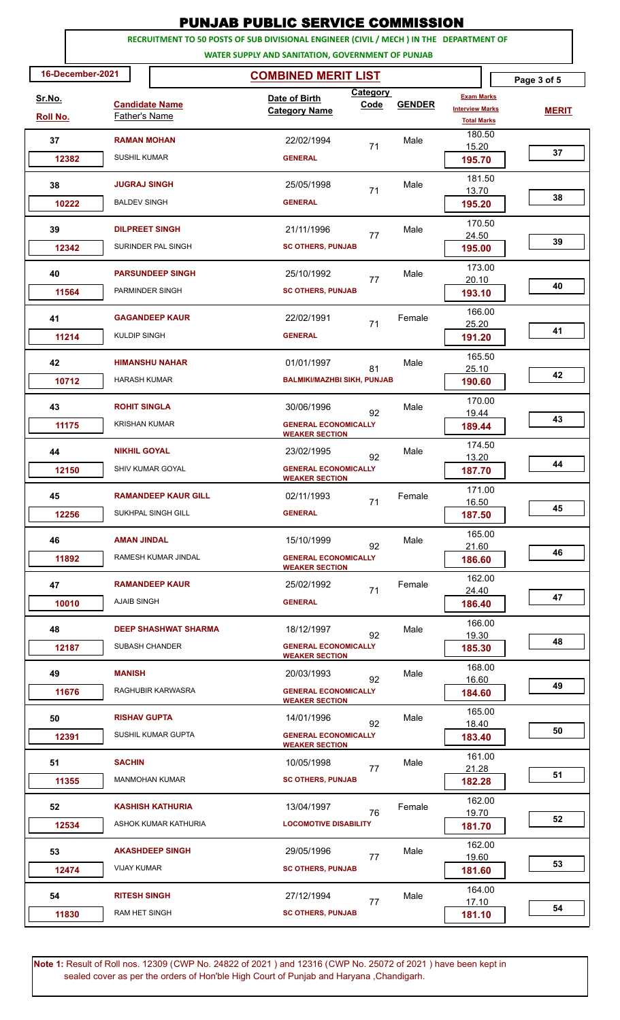| <b>PUNJAB PUBLIC SERVICE COMMISSION</b>                                                                                                      |                                               |                                                                              |                                                      |                  |               |                                                                   |             |              |
|----------------------------------------------------------------------------------------------------------------------------------------------|-----------------------------------------------|------------------------------------------------------------------------------|------------------------------------------------------|------------------|---------------|-------------------------------------------------------------------|-------------|--------------|
| RECRUITMENT TO 50 POSTS OF SUB DIVISIONAL ENGINEER (CIVIL / MECH ) IN THE DEPARTMENT OF<br>WATER SUPPLY AND SANITATION, GOVERNMENT OF PUNJAB |                                               |                                                                              |                                                      |                  |               |                                                                   |             |              |
| 16-December-2021<br><b>COMBINED MERIT LIST</b>                                                                                               |                                               |                                                                              |                                                      |                  |               |                                                                   | Page 3 of 5 |              |
| Sr.No.<br>Roll No.                                                                                                                           | <b>Candidate Name</b><br><b>Father's Name</b> |                                                                              | Date of Birth<br><b>Category Name</b>                | Category<br>Code | <b>GENDER</b> | <b>Exam Marks</b><br><b>Interview Marks</b><br><b>Total Marks</b> |             | <b>MERIT</b> |
| 37                                                                                                                                           | <b>RAMAN MOHAN</b>                            |                                                                              | 22/02/1994                                           | 71               | Male          | 180.50<br>15.20                                                   |             |              |
| 12382                                                                                                                                        | <b>SUSHIL KUMAR</b>                           |                                                                              | <b>GENERAL</b>                                       |                  |               | 195.70                                                            |             | 37           |
| 38                                                                                                                                           | <b>JUGRAJ SINGH</b>                           |                                                                              | 25/05/1998                                           | 71               | Male          | 181.50<br>13.70                                                   |             |              |
| 10222                                                                                                                                        | <b>BALDEV SINGH</b>                           |                                                                              | <b>GENERAL</b>                                       |                  |               | 195.20                                                            |             | 38           |
| 39                                                                                                                                           | <b>DILPREET SINGH</b>                         |                                                                              | 21/11/1996                                           | 77               | Male          | 170.50<br>24.50                                                   |             |              |
| 12342                                                                                                                                        |                                               | SURINDER PAL SINGH                                                           | <b>SC OTHERS, PUNJAB</b>                             |                  |               | 195.00                                                            |             | 39           |
| 40                                                                                                                                           |                                               | <b>PARSUNDEEP SINGH</b>                                                      | 25/10/1992                                           | 77               | Male          | 173.00<br>20.10                                                   |             |              |
| 11564                                                                                                                                        | PARMINDER SINGH                               |                                                                              | <b>SC OTHERS, PUNJAB</b>                             |                  |               | 193.10                                                            |             | 40           |
| 41                                                                                                                                           |                                               | <b>GAGANDEEP KAUR</b>                                                        | 22/02/1991                                           | 71               | Female        | 166.00<br>25.20                                                   |             |              |
| 11214                                                                                                                                        | <b>KULDIP SINGH</b>                           |                                                                              | <b>GENERAL</b>                                       |                  |               | 191.20                                                            |             | 41           |
| 42                                                                                                                                           |                                               | <b>HIMANSHU NAHAR</b>                                                        | 01/01/1997                                           | 81               | Male          | 165.50<br>25.10                                                   |             |              |
| 10712                                                                                                                                        | <b>HARASH KUMAR</b>                           |                                                                              | <b>BALMIKI/MAZHBI SIKH, PUNJAB</b>                   |                  |               | 190.60                                                            |             | 42           |
| 43                                                                                                                                           | <b>ROHIT SINGLA</b>                           |                                                                              | 30/06/1996                                           | 92               | Male          | 170.00<br>19.44                                                   |             |              |
| 11175                                                                                                                                        |                                               | <b>GENERAL ECONOMICALLY</b><br><b>KRISHAN KUMAR</b><br><b>WEAKER SECTION</b> |                                                      |                  | 189.44        |                                                                   | 43          |              |
| 44                                                                                                                                           | <b>NIKHIL GOYAL</b>                           |                                                                              | 23/02/1995                                           | 92               | Male          | 174.50<br>13.20                                                   |             |              |
| 12150                                                                                                                                        |                                               | SHIV KUMAR GOYAL                                                             | <b>GENERAL ECONOMICALLY</b><br><b>WEAKER SECTION</b> |                  |               | 187.70                                                            |             | 44           |
| 45                                                                                                                                           |                                               | <b>RAMANDEEP KAUR GILL</b>                                                   | 02/11/1993                                           | 71               | Female        | 171.00<br>16.50                                                   |             |              |
| 12256                                                                                                                                        |                                               | SUKHPAL SINGH GILL                                                           | <b>GENERAL</b>                                       |                  |               | 187.50                                                            |             | 45           |
| 46                                                                                                                                           | <b>AMAN JINDAL</b>                            |                                                                              | 15/10/1999                                           | 92               | Male          | 165.00<br>21.60                                                   |             |              |
| 11892                                                                                                                                        |                                               | RAMESH KUMAR JINDAL                                                          | <b>GENERAL ECONOMICALLY</b><br><b>WEAKER SECTION</b> |                  |               | 186.60                                                            |             | 46           |
| 47                                                                                                                                           |                                               | <b>RAMANDEEP KAUR</b>                                                        | 25/02/1992                                           | 71               | Female        | 162.00<br>24.40                                                   |             |              |
| 10010                                                                                                                                        | <b>AJAIB SINGH</b>                            |                                                                              | <b>GENERAL</b>                                       |                  |               | 186.40                                                            |             | 47           |
| 48                                                                                                                                           |                                               | <b>DEEP SHASHWAT SHARMA</b>                                                  | 18/12/1997                                           | 92               | Male          | 166.00<br>19.30                                                   |             |              |
| 12187                                                                                                                                        | <b>SUBASH CHANDER</b>                         |                                                                              | <b>GENERAL ECONOMICALLY</b><br><b>WEAKER SECTION</b> |                  |               | 185.30                                                            |             | 48           |
| 49                                                                                                                                           | <b>MANISH</b>                                 |                                                                              | 20/03/1993                                           | 92               | Male          | 168.00<br>16.60                                                   |             |              |
| 11676                                                                                                                                        |                                               | RAGHUBIR KARWASRA                                                            | <b>GENERAL ECONOMICALLY</b><br><b>WEAKER SECTION</b> |                  |               | 184.60                                                            |             | 49           |
| 50                                                                                                                                           | <b>RISHAV GUPTA</b>                           |                                                                              | 14/01/1996                                           | 92               | Male          | 165.00<br>18.40                                                   |             |              |
| 12391                                                                                                                                        |                                               | SUSHIL KUMAR GUPTA                                                           | <b>GENERAL ECONOMICALLY</b><br><b>WEAKER SECTION</b> |                  |               | 183.40                                                            |             | 50           |
| 51                                                                                                                                           | <b>SACHIN</b>                                 |                                                                              | 10/05/1998                                           | 77               | Male          | 161.00<br>21.28                                                   |             |              |
| 11355                                                                                                                                        |                                               | <b>MANMOHAN KUMAR</b>                                                        | <b>SC OTHERS, PUNJAB</b>                             |                  |               | 182.28                                                            |             | 51           |
| 52                                                                                                                                           |                                               | <b>KASHISH KATHURIA</b>                                                      | 13/04/1997                                           | 76               | Female        | 162.00<br>19.70                                                   |             |              |
| 12534                                                                                                                                        |                                               | ASHOK KUMAR KATHURIA                                                         | <b>LOCOMOTIVE DISABILITY</b>                         |                  |               | 181.70                                                            |             | 52           |
| 53                                                                                                                                           |                                               | <b>AKASHDEEP SINGH</b>                                                       | 29/05/1996                                           | 77               | Male          | 162.00<br>19.60                                                   |             |              |
| 12474                                                                                                                                        | <b>VIJAY KUMAR</b>                            |                                                                              | <b>SC OTHERS, PUNJAB</b>                             |                  |               | 181.60                                                            |             | 53           |
| 54                                                                                                                                           | <b>RITESH SINGH</b>                           |                                                                              | 27/12/1994                                           | 77               | Male          | 164.00<br>17.10                                                   |             |              |
| 11830                                                                                                                                        | <b>RAM HET SINGH</b>                          |                                                                              | <b>SC OTHERS, PUNJAB</b>                             |                  |               | 181.10                                                            |             | 54           |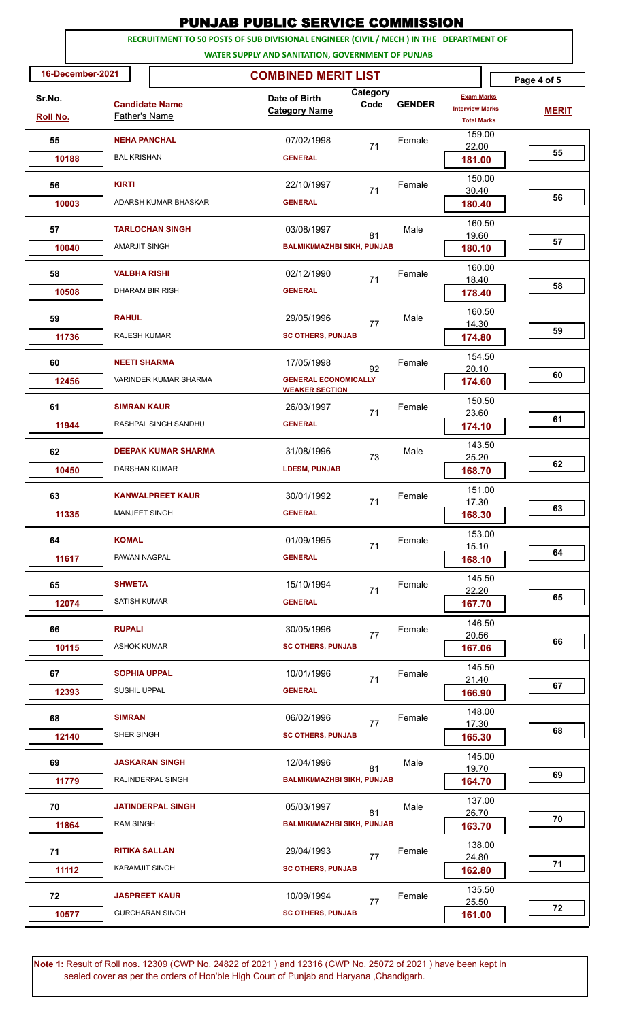|                                                                                                                                              |                                                | PUNJAB PUBLIC SERVICE COMMISSION                 |                  |               |                                                                   |              |  |
|----------------------------------------------------------------------------------------------------------------------------------------------|------------------------------------------------|--------------------------------------------------|------------------|---------------|-------------------------------------------------------------------|--------------|--|
| RECRUITMENT TO 50 POSTS OF SUB DIVISIONAL ENGINEER (CIVIL / MECH ) IN THE DEPARTMENT OF<br>WATER SUPPLY AND SANITATION, GOVERNMENT OF PUNJAB |                                                |                                                  |                  |               |                                                                   |              |  |
| 16-December-2021                                                                                                                             |                                                | <b>COMBINED MERIT LIST</b>                       |                  |               |                                                                   | Page 4 of 5  |  |
| <u>Sr.No.</u><br>Roll No.                                                                                                                    | <b>Candidate Name</b><br>Father's Name         | Date of Birth<br><b>Category Name</b>            | Category<br>Code | <b>GENDER</b> | <b>Exam Marks</b><br><b>Interview Marks</b><br><b>Total Marks</b> | <b>MERIT</b> |  |
| 55                                                                                                                                           | <b>NEHA PANCHAL</b>                            | 07/02/1998                                       | 71               | Female        | 159.00<br>22.00                                                   | 55           |  |
| 10188                                                                                                                                        | <b>BAL KRISHAN</b>                             | <b>GENERAL</b>                                   |                  |               | 181.00                                                            |              |  |
| 56<br>10003                                                                                                                                  | <b>KIRTI</b><br>ADARSH KUMAR BHASKAR           | 22/10/1997<br><b>GENERAL</b>                     | 71               | Female        | 150.00<br>30.40<br>180.40                                         | 56           |  |
| 57                                                                                                                                           | <b>TARLOCHAN SINGH</b>                         | 03/08/1997                                       |                  | Male          | 160.50                                                            |              |  |
| 10040                                                                                                                                        | <b>AMARJIT SINGH</b>                           | <b>BALMIKI/MAZHBI SIKH, PUNJAB</b>               | 81               |               | 19.60<br>180.10                                                   | 57           |  |
| 58                                                                                                                                           | <b>VALBHA RISHI</b>                            | 02/12/1990                                       | 71               | Female        | 160.00<br>18.40                                                   |              |  |
| 10508                                                                                                                                        | <b>DHARAM BIR RISHI</b>                        | <b>GENERAL</b>                                   |                  |               | 178.40                                                            | 58           |  |
| 59                                                                                                                                           | <b>RAHUL</b>                                   | 29/05/1996                                       | 77               | Male          | 160.50<br>14.30                                                   | 59           |  |
| 11736                                                                                                                                        | <b>RAJESH KUMAR</b>                            | <b>SC OTHERS, PUNJAB</b>                         |                  |               | 174.80<br>154.50                                                  |              |  |
| 60<br>12456                                                                                                                                  | <b>NEETI SHARMA</b><br>VARINDER KUMAR SHARMA   | 17/05/1998<br><b>GENERAL ECONOMICALLY</b>        | 92               | Female        | 20.10<br>174.60                                                   | 60           |  |
| 61                                                                                                                                           | <b>SIMRAN KAUR</b>                             | <b>WEAKER SECTION</b><br>26/03/1997              | 71               | Female        | 150.50<br>23.60                                                   |              |  |
| 11944                                                                                                                                        | RASHPAL SINGH SANDHU                           | <b>GENERAL</b>                                   |                  |               | 174.10                                                            | 61           |  |
| 62<br>10450                                                                                                                                  | <b>DEEPAK KUMAR SHARMA</b><br>DARSHAN KUMAR    | 31/08/1996<br><b>LDESM, PUNJAB</b>               | 73               | Male          | 143.50<br>25.20<br>168.70                                         | 62           |  |
| 63                                                                                                                                           | <b>KANWALPREET KAUR</b>                        | 30/01/1992                                       | 71               | Female        | 151.00<br>17.30                                                   | 63           |  |
| 11335                                                                                                                                        | <b>MANJEET SINGH</b>                           | <b>GENERAL</b>                                   |                  |               | 168.30<br>153.00                                                  |              |  |
| 64<br>11617                                                                                                                                  | <b>KOMAL</b><br>PAWAN NAGPAL                   | 01/09/1995<br><b>GENERAL</b>                     | 71               | Female        | 15.10<br>168.10                                                   | 64           |  |
| 65<br>12074                                                                                                                                  | <b>SHWETA</b><br><b>SATISH KUMAR</b>           | 15/10/1994<br><b>GENERAL</b>                     | 71               | Female        | 145.50<br>22.20<br>167.70                                         | 65           |  |
| 66<br>10115                                                                                                                                  | <b>RUPALI</b><br><b>ASHOK KUMAR</b>            | 30/05/1996<br><b>SC OTHERS, PUNJAB</b>           | 77               | Female        | 146.50<br>20.56<br>167.06                                         | 66           |  |
| 67<br>12393                                                                                                                                  | <b>SOPHIA UPPAL</b><br>SUSHIL UPPAL            | 10/01/1996<br><b>GENERAL</b>                     | 71               | Female        | 145.50<br>21.40<br>166.90                                         | 67           |  |
| 68<br>12140                                                                                                                                  | <b>SIMRAN</b><br>SHER SINGH                    | 06/02/1996<br><b>SC OTHERS, PUNJAB</b>           | 77               | Female        | 148.00<br>17.30<br>165.30                                         | 68           |  |
| 69<br>11779                                                                                                                                  | <b>JASKARAN SINGH</b><br>RAJINDERPAL SINGH     | 12/04/1996<br><b>BALMIKI/MAZHBI SIKH, PUNJAB</b> | 81               | Male          | 145.00<br>19.70<br>164.70                                         | 69           |  |
| 70<br>11864                                                                                                                                  | <b>JATINDERPAL SINGH</b><br><b>RAM SINGH</b>   | 05/03/1997<br><b>BALMIKI/MAZHBI SIKH, PUNJAB</b> | 81               | Male          | 137.00<br>26.70<br>163.70                                         | 70           |  |
| 71<br>11112                                                                                                                                  | <b>RITIKA SALLAN</b><br><b>KARAMJIT SINGH</b>  | 29/04/1993<br><b>SC OTHERS, PUNJAB</b>           | 77               | Female        | 138.00<br>24.80<br>162.80                                         | 71           |  |
| 72<br>10577                                                                                                                                  | <b>JASPREET KAUR</b><br><b>GURCHARAN SINGH</b> | 10/09/1994<br><b>SC OTHERS, PUNJAB</b>           | 77               | Female        | 135.50<br>25.50<br>161.00                                         | 72           |  |